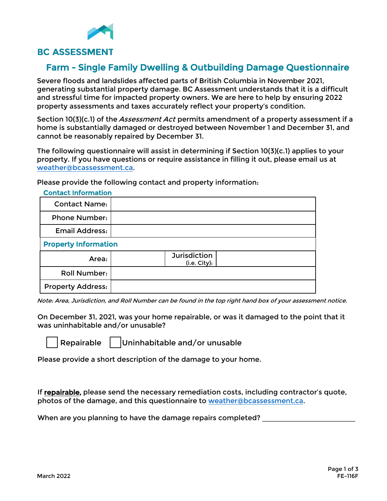

## Farm - Single Family Dwelling & Outbuilding Damage Questionnaire

Severe floods and landslides affected parts of British Columbia in November 2021, generating substantial property damage. BC Assessment understands that it is a difficult and stressful time for impacted property owners. We are here to help by ensuring 2022 property assessments and taxes accurately reflect your property's condition.

Section 10(3)(c.1) of the *Assessment Act* permits amendment of a property assessment if a home is substantially damaged or destroyed between November 1 and December 31, and cannot be reasonably repaired by December 31.

The following questionnaire will assist in determining if Section 10(3)(c.1) applies to your property. If you have questions or require assistance in filling it out, please email us at [weather@bcassessment.ca](mailto:weather@bcassessment.ca).

Please provide the following contact and property information:

| <b>Contact Name:</b>        |                                     |
|-----------------------------|-------------------------------------|
| <b>Phone Number:</b>        |                                     |
| <b>Email Address:</b>       |                                     |
| <b>Property Information</b> |                                     |
| Area:                       | <b>Jurisdiction</b><br>(i.e. City): |
| <b>Roll Number:</b>         |                                     |
| <b>Property Address:</b>    |                                     |

Contact Information

Note: Area, Jurisdiction, and Roll Number can be found in the top right hand box of your assessment notice.

On December 31, 2021, was your home repairable, or was it damaged to the point that it was uninhabitable and/or unusable?

Repairable Uninhabitable and/or unusable

Please provide a short description of the damage to your home.

If repairable, please send the necessary remediation costs, including contractor's quote, photos of the damage, and this questionnaire to [weather@bcassessment.ca.](mailto:weather@bcassessment.ca)

When are you planning to have the damage repairs completed?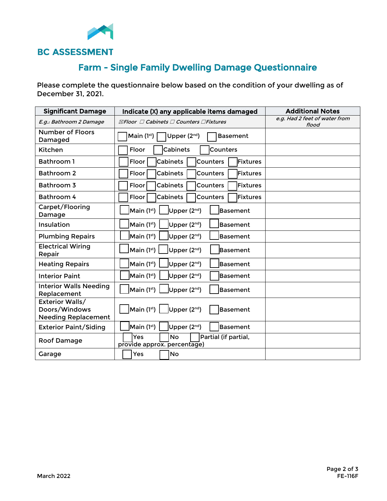

## Farm - Single Family Dwelling Damage Questionnaire

Please complete the questionnaire below based on the condition of your dwelling as of December 31, 2021.

| <b>Significant Damage</b>                                      | Indicate (X) any applicable items damaged                                                                | <b>Additional Notes</b>                |
|----------------------------------------------------------------|----------------------------------------------------------------------------------------------------------|----------------------------------------|
| E.g.: Bathroom 2 Damage                                        | $\boxtimes$ Floor $\Box$ Cabinets $\Box$ Counters $\Box$ Fixtures                                        | e.g. Had 2 feet of water from<br>flood |
| <b>Number of Floors</b><br>Damaged                             | Main $(1st)$<br>Upper $(2^{nd})$<br><b>Basement</b>                                                      |                                        |
| Kitchen                                                        | <b>Cabinets</b><br>Floor<br>Counters                                                                     |                                        |
| <b>Bathroom 1</b>                                              | <b>Cabinets</b><br>Counters<br>Floor<br>Fixtures                                                         |                                        |
| Bathroom 2                                                     | Fixtures<br><b>Cabinets</b><br><b>Counters</b><br>Floor                                                  |                                        |
| Bathroom 3                                                     | Fixtures<br><b>Cabinets</b><br>Counters<br>Floor                                                         |                                        |
| Bathroom 4                                                     | <b>lFixtures</b><br>Cabinets<br>Counters<br>Floor                                                        |                                        |
| Carpet/Flooring<br>Damage                                      | Main (1 <sup>st</sup> )<br>Upper (2nd)<br>Basement                                                       |                                        |
| Insulation                                                     | Main $(1st)$<br>Upper (2 <sup>nd</sup> )<br><b>Basement</b>                                              |                                        |
| <b>Plumbing Repairs</b>                                        | Main $(1st)$<br>Upper (2 <sup>nd</sup> )<br><b>Basement</b>                                              |                                        |
| <b>Electrical Wiring</b><br>Repair                             | Main (1st)<br>Upper (2nd)<br>Basement                                                                    |                                        |
| <b>Heating Repairs</b>                                         | Main $(1st)$<br>Upper (2 <sup>nd</sup> )<br>lBasement                                                    |                                        |
| <b>Interior Paint</b>                                          | Main (1st)<br>Upper (2 <sup>nd</sup> )<br><b>Basement</b>                                                |                                        |
| <b>Interior Walls Needing</b><br>Replacement                   | Main $(1st)$<br>Upper $(2^{nd})$<br><b>Basement</b>                                                      |                                        |
| Exterior Walls/<br>Doors/Windows<br><b>Needing Replacement</b> | $\left  \mathsf{Main}\left(1^{\mathsf{st}}\right) \ \right $ Upper (2 <sup>nd</sup> )<br><b>Basement</b> |                                        |
| <b>Exterior Paint/Siding</b>                                   | Main $(1st)$<br>Upper (2 <sup>nd</sup> )<br>Basement                                                     |                                        |
| Roof Damage                                                    | Yes<br><b>No</b><br>Partial (if partial,<br>provide approx. percentage)                                  |                                        |
| Garage                                                         | Yes<br>No                                                                                                |                                        |